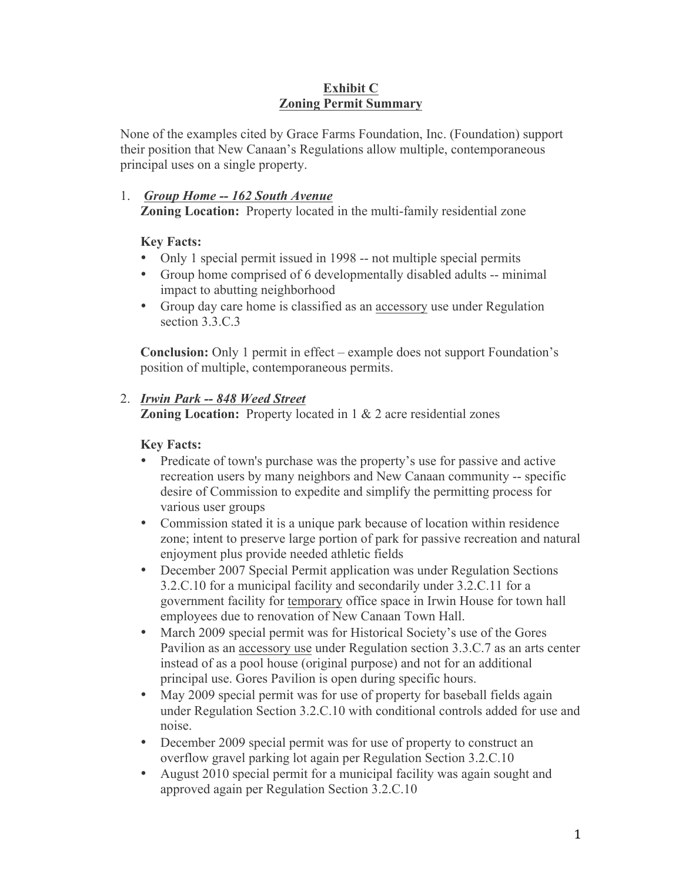#### **Exhibit C Zoning Permit Summary**

None of the examples cited by Grace Farms Foundation, Inc. (Foundation) support their position that New Canaan's Regulations allow multiple, contemporaneous principal uses on a single property.

### 1. *Group Home -- 162 South Avenue* **Zoning Location:** Property located in the multi-family residential zone

# **Key Facts:**

- Only 1 special permit issued in 1998 -- not multiple special permits
- Group home comprised of 6 developmentally disabled adults -- minimal impact to abutting neighborhood
- Group day care home is classified as an accessory use under Regulation section 3.3.C.3

**Conclusion:** Only 1 permit in effect – example does not support Foundation's position of multiple, contemporaneous permits.

# 2. *Irwin Park -- 848 Weed Street*

**Zoning Location:** Property located in 1 & 2 acre residential zones

# **Key Facts:**

- Predicate of town's purchase was the property's use for passive and active recreation users by many neighbors and New Canaan community -- specific desire of Commission to expedite and simplify the permitting process for various user groups
- Commission stated it is a unique park because of location within residence zone; intent to preserve large portion of park for passive recreation and natural enjoyment plus provide needed athletic fields
- December 2007 Special Permit application was under Regulation Sections 3.2.C.10 for a municipal facility and secondarily under 3.2.C.11 for a government facility for temporary office space in Irwin House for town hall employees due to renovation of New Canaan Town Hall.
- March 2009 special permit was for Historical Society's use of the Gores Pavilion as an accessory use under Regulation section 3.3.C.7 as an arts center instead of as a pool house (original purpose) and not for an additional principal use. Gores Pavilion is open during specific hours.
- May 2009 special permit was for use of property for baseball fields again under Regulation Section 3.2.C.10 with conditional controls added for use and noise.
- December 2009 special permit was for use of property to construct an overflow gravel parking lot again per Regulation Section 3.2.C.10
- August 2010 special permit for a municipal facility was again sought and approved again per Regulation Section 3.2.C.10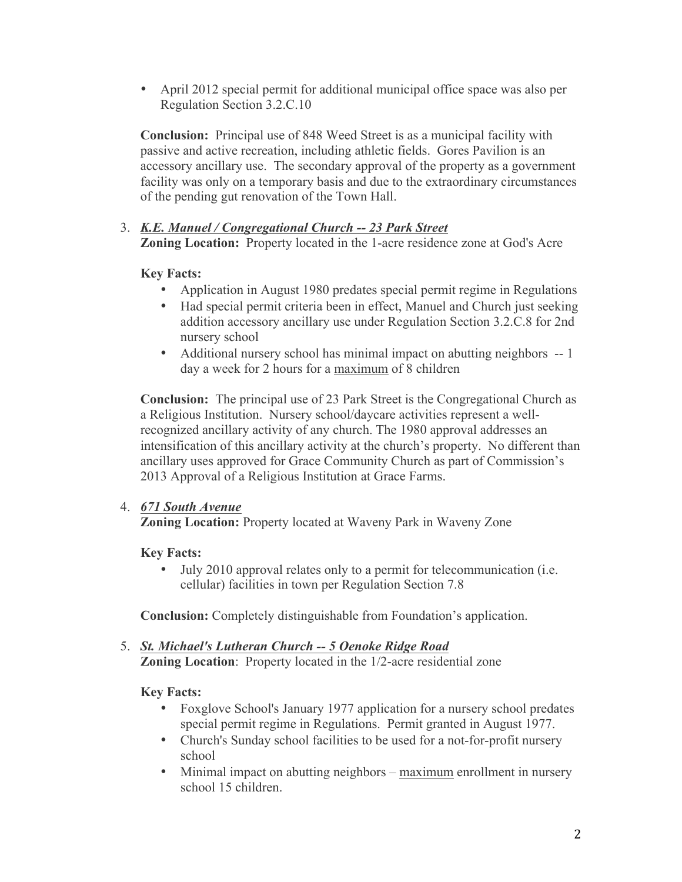• April 2012 special permit for additional municipal office space was also per Regulation Section 3.2.C.10

**Conclusion:** Principal use of 848 Weed Street is as a municipal facility with passive and active recreation, including athletic fields. Gores Pavilion is an accessory ancillary use. The secondary approval of the property as a government facility was only on a temporary basis and due to the extraordinary circumstances of the pending gut renovation of the Town Hall.

# 3. *K.E. Manuel / Congregational Church -- 23 Park Street* **Zoning Location:** Property located in the 1-acre residence zone at God's Acre

# **Key Facts:**

- Application in August 1980 predates special permit regime in Regulations
- Had special permit criteria been in effect, Manuel and Church just seeking addition accessory ancillary use under Regulation Section 3.2.C.8 for 2nd nursery school
- Additional nursery school has minimal impact on abutting neighbors -- 1 day a week for 2 hours for a maximum of 8 children

**Conclusion:** The principal use of 23 Park Street is the Congregational Church as a Religious Institution. Nursery school/daycare activities represent a wellrecognized ancillary activity of any church. The 1980 approval addresses an intensification of this ancillary activity at the church's property. No different than ancillary uses approved for Grace Community Church as part of Commission's 2013 Approval of a Religious Institution at Grace Farms.

### 4. *671 South Avenue*

**Zoning Location:** Property located at Waveny Park in Waveny Zone

### **Key Facts:**

• July 2010 approval relates only to a permit for telecommunication (i.e. cellular) facilities in town per Regulation Section 7.8

**Conclusion:** Completely distinguishable from Foundation's application.

5. *St. Michael's Lutheran Church -- 5 Oenoke Ridge Road* **Zoning Location**: Property located in the 1/2-acre residential zone

**Key Facts:**

- Foxglove School's January 1977 application for a nursery school predates special permit regime in Regulations. Permit granted in August 1977.
- Church's Sunday school facilities to be used for a not-for-profit nursery school
- Minimal impact on abutting neighbors maximum enrollment in nursery school 15 children.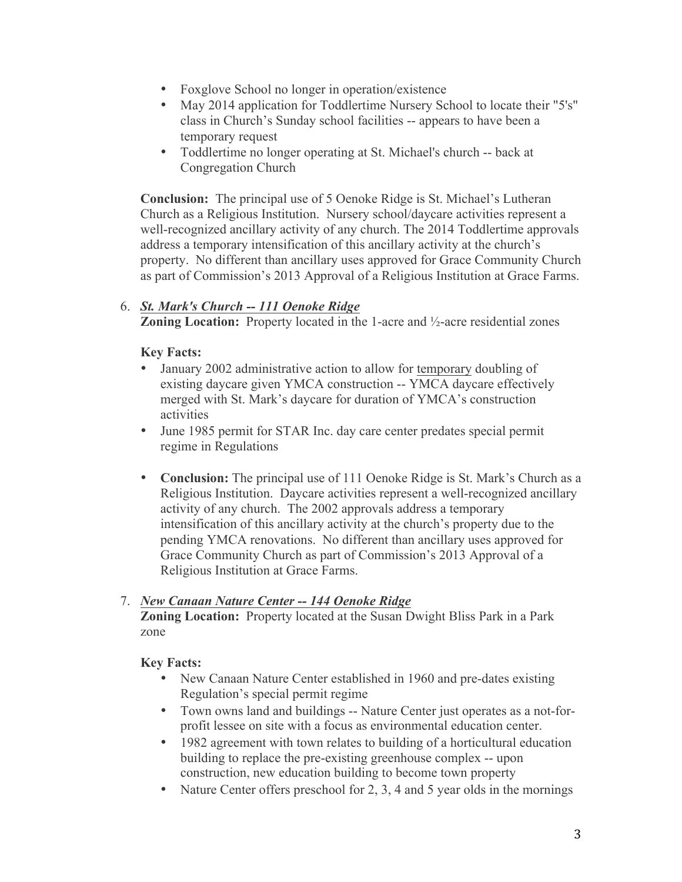- Foxglove School no longer in operation/existence
- May 2014 application for Toddlertime Nursery School to locate their "5's" class in Church's Sunday school facilities -- appears to have been a temporary request
- Toddlertime no longer operating at St. Michael's church -- back at Congregation Church

**Conclusion:** The principal use of 5 Oenoke Ridge is St. Michael's Lutheran Church as a Religious Institution. Nursery school/daycare activities represent a well-recognized ancillary activity of any church. The 2014 Toddlertime approvals address a temporary intensification of this ancillary activity at the church's property. No different than ancillary uses approved for Grace Community Church as part of Commission's 2013 Approval of a Religious Institution at Grace Farms.

### 6. *St. Mark's Church -- 111 Oenoke Ridge*

**Zoning Location:** Property located in the 1-acre and ½-acre residential zones

#### **Key Facts:**

- January 2002 administrative action to allow for temporary doubling of existing daycare given YMCA construction -- YMCA daycare effectively merged with St. Mark's daycare for duration of YMCA's construction activities
- June 1985 permit for STAR Inc. day care center predates special permit regime in Regulations
- **Conclusion:** The principal use of 111 Oenoke Ridge is St. Mark's Church as a Religious Institution. Daycare activities represent a well-recognized ancillary activity of any church. The 2002 approvals address a temporary intensification of this ancillary activity at the church's property due to the pending YMCA renovations. No different than ancillary uses approved for Grace Community Church as part of Commission's 2013 Approval of a Religious Institution at Grace Farms.

#### 7. *New Canaan Nature Center -- 144 Oenoke Ridge*

**Zoning Location:** Property located at the Susan Dwight Bliss Park in a Park zone

#### **Key Facts:**

- New Canaan Nature Center established in 1960 and pre-dates existing Regulation's special permit regime
- Town owns land and buildings -- Nature Center just operates as a not-forprofit lessee on site with a focus as environmental education center.
- 1982 agreement with town relates to building of a horticultural education building to replace the pre-existing greenhouse complex -- upon construction, new education building to become town property
- Nature Center offers preschool for 2, 3, 4 and 5 year olds in the mornings